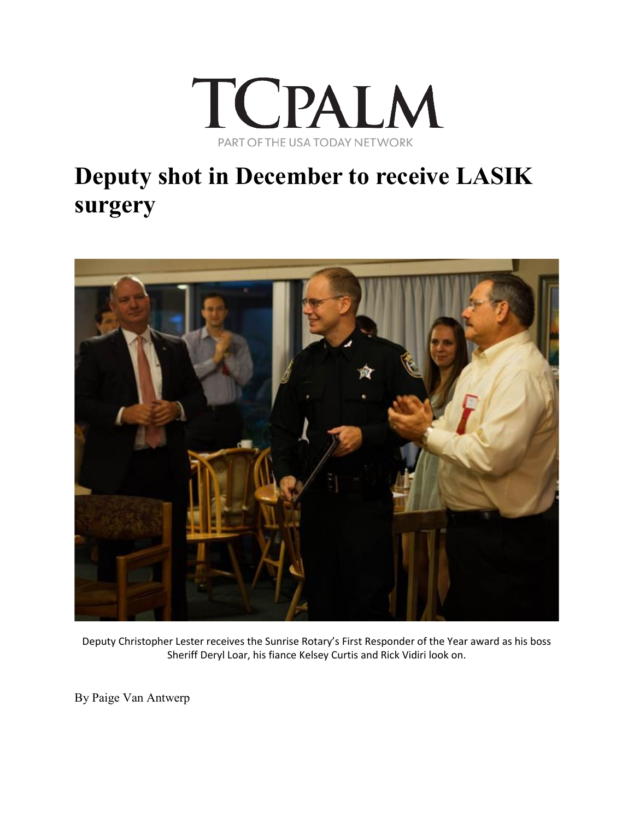

## **Deputy shot in December to receive LASIK surgery**



Deputy Christopher Lester receives the Sunrise Rotary's First Responder of the Year award as his boss Sheriff Deryl Loar, his fiance Kelsey Curtis and Rick Vidiri look on.

By Paige Van Antwerp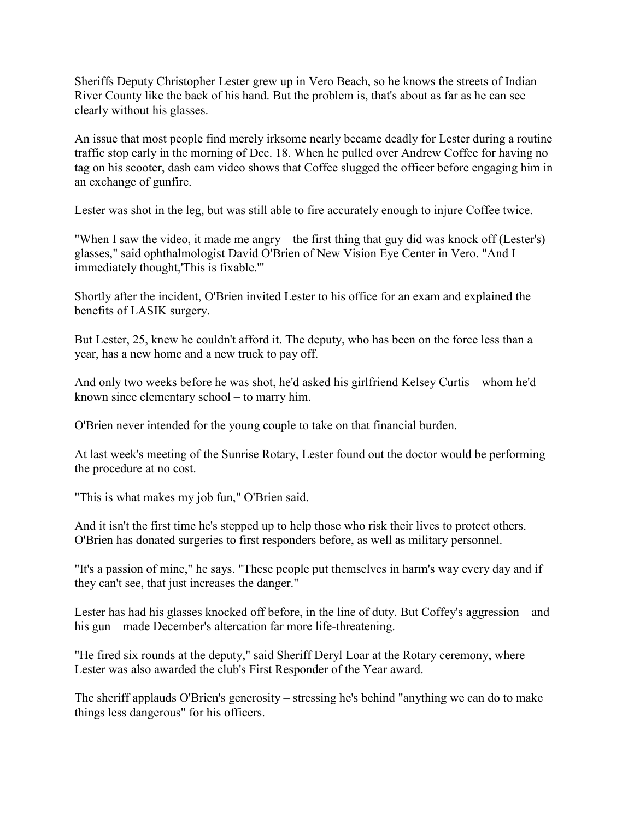Sheriffs Deputy Christopher Lester grew up in Vero Beach, so he knows the streets of Indian River County like the back of his hand. But the problem is, that's about as far as he can see clearly without his glasses.

An issue that most people find merely irksome nearly became deadly for Lester during a routine traffic stop early in the morning of Dec. 18. When he pulled over Andrew Coffee for having no tag on his scooter, dash cam video shows that Coffee slugged the officer before engaging him in an exchange of gunfire.

Lester was shot in the leg, but was still able to fire accurately enough to injure Coffee twice.

"When I saw the video, it made me angry – the first thing that guy did was knock off (Lester's) glasses," said ophthalmologist David O'Brien of New Vision Eye Center in Vero. "And I immediately thought,'This is fixable.'"

Shortly after the incident, O'Brien invited Lester to his office for an exam and explained the benefits of LASIK surgery.

But Lester, 25, knew he couldn't afford it. The deputy, who has been on the force less than a year, has a new home and a new truck to pay off.

And only two weeks before he was shot, he'd asked his girlfriend Kelsey Curtis – whom he'd known since elementary school – to marry him.

O'Brien never intended for the young couple to take on that financial burden.

At last week's meeting of the Sunrise Rotary, Lester found out the doctor would be performing the procedure at no cost.

"This is what makes my job fun," O'Brien said.

And it isn't the first time he's stepped up to help those who risk their lives to protect others. O'Brien has donated surgeries to first responders before, as well as military personnel.

"It's a passion of mine," he says. "These people put themselves in harm's way every day and if they can't see, that just increases the danger."

Lester has had his glasses knocked off before, in the line of duty. But Coffey's aggression – and his gun – made December's altercation far more life-threatening.

"He fired six rounds at the deputy," said Sheriff Deryl Loar at the Rotary ceremony, where Lester was also awarded the club's First Responder of the Year award.

The sheriff applauds O'Brien's generosity – stressing he's behind "anything we can do to make things less dangerous" for his officers.